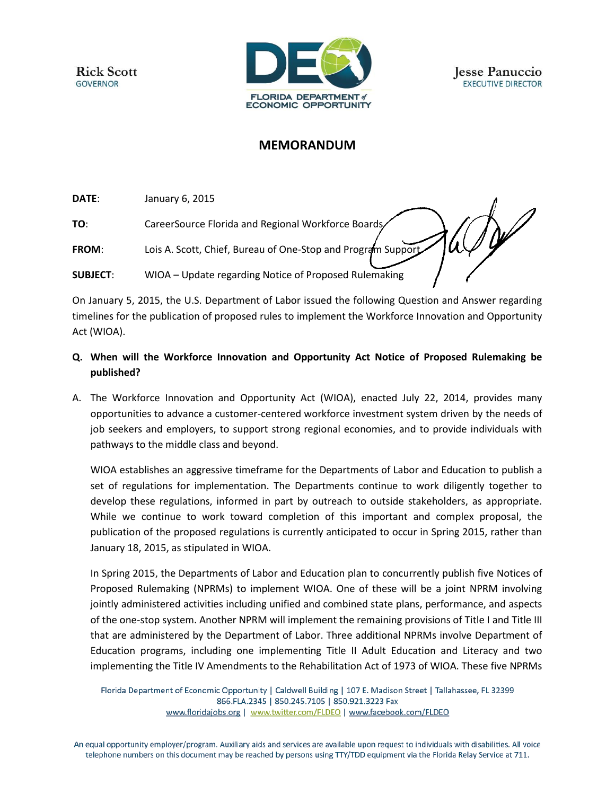**Rick Scott GOVERNOR** 



 $\sqrt{2}$ 

## **MEMORANDUM**

**DATE**: January 6, 2015

| TO:             | CareerSource Florida and Regional Workforce Boards           |
|-----------------|--------------------------------------------------------------|
| <b>FROM:</b>    | Lois A. Scott, Chief, Bureau of One-Stop and Program Support |
| <b>SUBJECT:</b> | WIOA - Update regarding Notice of Proposed Rulemaking        |

On January 5, 2015, the U.S. Department of Labor issued the following Question and Answer regarding timelines for the publication of proposed rules to implement the Workforce Innovation and Opportunity Act (WIOA).

- **Q. When will the Workforce Innovation and Opportunity Act Notice of Proposed Rulemaking be published?**
- A. The Workforce Innovation and Opportunity Act (WIOA), enacted July 22, 2014, provides many opportunities to advance a customer-centered workforce investment system driven by the needs of job seekers and employers, to support strong regional economies, and to provide individuals with pathways to the middle class and beyond.

WIOA establishes an aggressive timeframe for the Departments of Labor and Education to publish a set of regulations for implementation. The Departments continue to work diligently together to develop these regulations, informed in part by outreach to outside stakeholders, as appropriate. While we continue to work toward completion of this important and complex proposal, the publication of the proposed regulations is currently anticipated to occur in Spring 2015, rather than January 18, 2015, as stipulated in WIOA.

In Spring 2015, the Departments of Labor and Education plan to concurrently publish five Notices of Proposed Rulemaking (NPRMs) to implement WIOA. One of these will be a joint NPRM involving jointly administered activities including unified and combined state plans, performance, and aspects of the one-stop system. Another NPRM will implement the remaining provisions of Title I and Title III that are administered by the Department of Labor. Three additional NPRMs involve Department of Education programs, including one implementing Title II Adult Education and Literacy and two implementing the Title IV Amendments to the Rehabilitation Act of 1973 of WIOA. These five NPRMs

Florida Department of Economic Opportunity | Caldwell Building | 107 E. Madison Street | Tallahassee, FL 32399 866.FLA.2345 | 850.245.7105 | 850.921.3223 Fax www.floridajobs.org | www.twitter.com/FLDEO | www.facebook.com/FLDEO

An equal opportunity employer/program. Auxiliary aids and services are available upon request to individuals with disabilities. All voice telephone numbers on this document may be reached by persons using TTY/TDD equipment via the Florida Relay Service at 711.